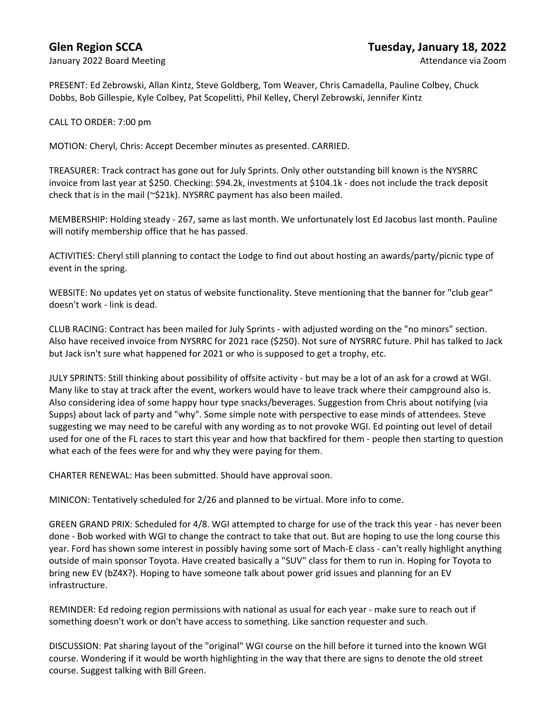PRESENT: Ed Zebrowski, Allan Kintz, Steve Goldberg, Tom Weaver, Chris Camadella, Pauline Colbey, Chuck Dobbs, Bob Gillespie, Kyle Colbey, Pat Scopelitti, Phil Kelley, Cheryl Zebrowski, Jennifer Kintz

CALL TO ORDER: 7:00 pm

MOTION: Cheryl, Chris: Accept December minutes as presented. CARRIED.

TREASURER: Track contract has gone out for July Sprints. Only other outstanding bill known is the NYSRRC invoice from last year at \$250. Checking: \$94.2k, investments at \$104.1k - does not include the track deposit check that is in the mail (~\$21k). NYSRRC payment has also been mailed.

MEMBERSHIP: Holding steady - 267, same as last month. We unfortunately lost Ed Jacobus last month. Pauline will notify membership office that he has passed.

ACTIVITIES: Cheryl still planning to contact the Lodge to find out about hosting an awards/party/picnic type of event in the spring.

WEBSITE: No updates yet on status of website functionality. Steve mentioning that the banner for "club gear" doesn't work - link is dead.

CLUB RACING: Contract has been mailed for July Sprints - with adjusted wording on the "no minors" section. Also have received invoice from NYSRRC for 2021 race (\$250). Not sure of NYSRRC future. Phil has talked to Jack but Jack isn't sure what happened for 2021 or who is supposed to get a trophy, etc.

JULY SPRINTS: Still thinking about possibility of offsite activity - but may be a lot of an ask for a crowd at WGI. Many like to stay at track after the event, workers would have to leave track where their campground also is. Also considering idea of some happy hour type snacks/beverages. Suggestion from Chris about notifying (via Supps) about lack of party and "why". Some simple note with perspective to ease minds of attendees. Steve suggesting we may need to be careful with any wording as to not provoke WGI. Ed pointing out level of detail used for one of the FL races to start this year and how that backfired for them - people then starting to question what each of the fees were for and why they were paying for them.

CHARTER RENEWAL: Has been submitted. Should have approval soon.

MINICON: Tentatively scheduled for 2/26 and planned to be virtual. More info to come.

GREEN GRAND PRIX: Scheduled for 4/8. WGI attempted to charge for use of the track this year - has never been done - Bob worked with WGI to change the contract to take that out. But are hoping to use the long course this year. Ford has shown some interest in possibly having some sort of Mach-E class - can't really highlight anything outside of main sponsor Toyota. Have created basically a "SUV" class for them to run in. Hoping for Toyota to bring new EV (bZ4X?). Hoping to have someone talk about power grid issues and planning for an EV infrastructure.

REMINDER: Ed redoing region permissions with national as usual for each year - make sure to reach out if something doesn't work or don't have access to something. Like sanction requester and such.

DISCUSSION: Pat sharing layout of the "original" WGI course on the hill before it turned into the known WGI course. Wondering if it would be worth highlighting in the way that there are signs to denote the old street course. Suggest talking with Bill Green.